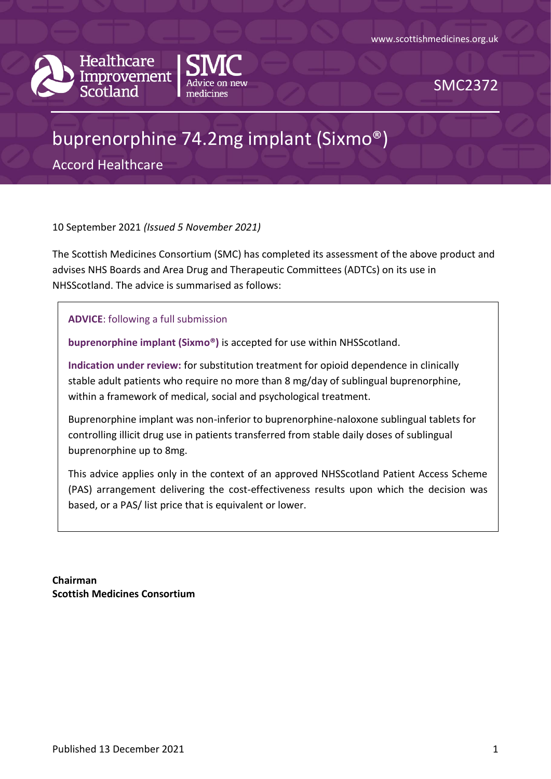



SMC2372

# buprenorphine 74.2mg implant (Sixmo®)

Accord Healthcare

10 September 2021 *(Issued 5 November 2021)*

The Scottish Medicines Consortium (SMC) has completed its assessment of the above product and advises NHS Boards and Area Drug and Therapeutic Committees (ADTCs) on its use in NHSScotland. The advice is summarised as follows:

**ADVICE**: following a full submission

**buprenorphine implant (Sixmo®)** is accepted for use within NHSScotland.

**Indication under review:** for substitution treatment for opioid dependence in clinically stable adult patients who require no more than 8 mg/day of sublingual buprenorphine, within a framework of medical, social and psychological treatment.

Buprenorphine implant was non-inferior to buprenorphine-naloxone sublingual tablets for controlling illicit drug use in patients transferred from stable daily doses of sublingual buprenorphine up to 8mg.

This advice applies only in the context of an approved NHSScotland Patient Access Scheme (PAS) arrangement delivering the cost-effectiveness results upon which the decision was based, or a PAS/ list price that is equivalent or lower.

**Chairman Scottish Medicines Consortium**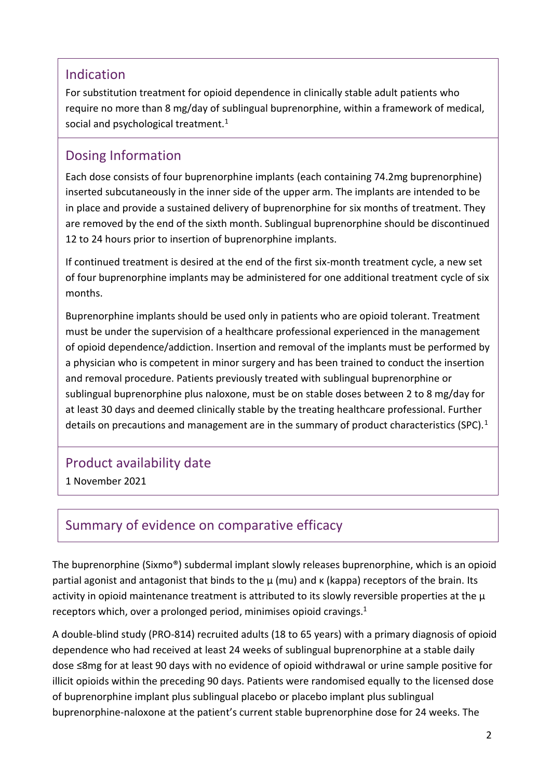### Indication

For substitution treatment for opioid dependence in clinically stable adult patients who require no more than 8 mg/day of sublingual buprenorphine, within a framework of medical, social and psychological treatment.<sup>1</sup>

### Dosing Information

Each dose consists of four buprenorphine implants (each containing 74.2mg buprenorphine) inserted subcutaneously in the inner side of the upper arm. The implants are intended to be in place and provide a sustained delivery of buprenorphine for six months of treatment. They are removed by the end of the sixth month. Sublingual buprenorphine should be discontinued 12 to 24 hours prior to insertion of buprenorphine implants.

If continued treatment is desired at the end of the first six-month treatment cycle, a new set of four buprenorphine implants may be administered for one additional treatment cycle of six months.

Buprenorphine implants should be used only in patients who are opioid tolerant. Treatment must be under the supervision of a healthcare professional experienced in the management of opioid dependence/addiction. Insertion and removal of the implants must be performed by a physician who is competent in minor surgery and has been trained to conduct the insertion and removal procedure. Patients previously treated with sublingual buprenorphine or sublingual buprenorphine plus naloxone, must be on stable doses between 2 to 8 mg/day for at least 30 days and deemed clinically stable by the treating healthcare professional. Further details on precautions and management are in the summary of product characteristics (SPC).<sup>1</sup>

### Product availability date

1 November 2021

# Summary of evidence on comparative efficacy

The buprenorphine (Sixmo®) subdermal implant slowly releases buprenorphine, which is an opioid partial agonist and antagonist that binds to the μ (mu) and κ (kappa) receptors of the brain. Its activity in opioid maintenance treatment is attributed to its slowly reversible properties at the μ receptors which, over a prolonged period, minimises opioid cravings.<sup>1</sup>

A double-blind study (PRO-814) recruited adults (18 to 65 years) with a primary diagnosis of opioid dependence who had received at least 24 weeks of sublingual buprenorphine at a stable daily dose ≤8mg for at least 90 days with no evidence of opioid withdrawal or urine sample positive for illicit opioids within the preceding 90 days. Patients were randomised equally to the licensed dose of buprenorphine implant plus sublingual placebo or placebo implant plus sublingual buprenorphine-naloxone at the patient's current stable buprenorphine dose for 24 weeks. The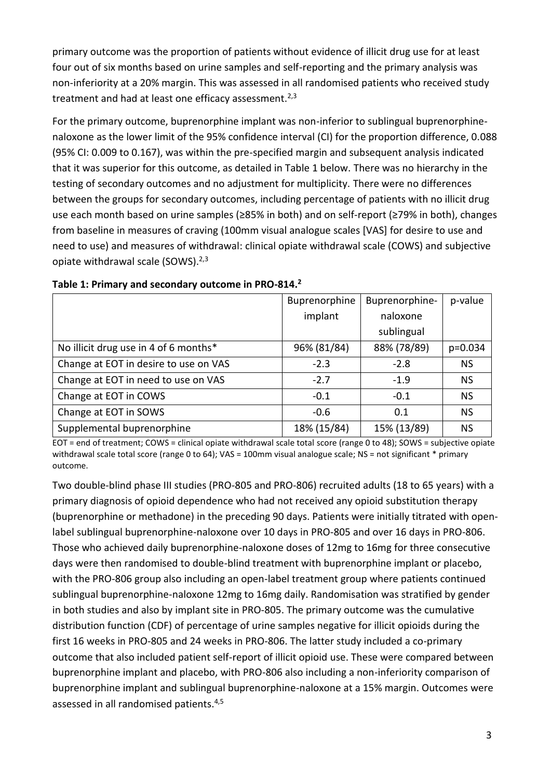primary outcome was the proportion of patients without evidence of illicit drug use for at least four out of six months based on urine samples and self-reporting and the primary analysis was non-inferiority at a 20% margin. This was assessed in all randomised patients who received study treatment and had at least one efficacy assessment.<sup>2,3</sup>

For the primary outcome, buprenorphine implant was non-inferior to sublingual buprenorphinenaloxone as the lower limit of the 95% confidence interval (CI) for the proportion difference, 0.088 (95% CI: 0.009 to 0.167), was within the pre-specified margin and subsequent analysis indicated that it was superior for this outcome, as detailed in Table 1 below. There was no hierarchy in the testing of secondary outcomes and no adjustment for multiplicity. There were no differences between the groups for secondary outcomes, including percentage of patients with no illicit drug use each month based on urine samples (≥85% in both) and on self-report (≥79% in both), changes from baseline in measures of craving (100mm visual analogue scales [VAS] for desire to use and need to use) and measures of withdrawal: clinical opiate withdrawal scale (COWS) and subjective opiate withdrawal scale (SOWS). $2,3$ 

|                                       | Buprenorphine | Buprenorphine- | p-value   |
|---------------------------------------|---------------|----------------|-----------|
|                                       | implant       | naloxone       |           |
|                                       |               | sublingual     |           |
| No illicit drug use in 4 of 6 months* | 96% (81/84)   | 88% (78/89)    | $p=0.034$ |
| Change at EOT in desire to use on VAS | $-2.3$        | $-2.8$         | <b>NS</b> |
| Change at EOT in need to use on VAS   | $-2.7$        | $-1.9$         | <b>NS</b> |
| Change at EOT in COWS                 | $-0.1$        | $-0.1$         | <b>NS</b> |
| Change at EOT in SOWS                 | $-0.6$        | 0.1            | <b>NS</b> |
| Supplemental buprenorphine            | 18% (15/84)   | 15% (13/89)    | <b>NS</b> |

#### **Table 1: Primary and secondary outcome in PRO-814. 2**

EOT = end of treatment; COWS = clinical opiate withdrawal scale total score (range 0 to 48); SOWS = subjective opiate withdrawal scale total score (range 0 to 64); VAS = 100mm visual analogue scale; NS = not significant \* primary outcome.

Two double-blind phase III studies (PRO-805 and PRO-806) recruited adults (18 to 65 years) with a primary diagnosis of opioid dependence who had not received any opioid substitution therapy (buprenorphine or methadone) in the preceding 90 days. Patients were initially titrated with openlabel sublingual buprenorphine-naloxone over 10 days in PRO-805 and over 16 days in PRO-806. Those who achieved daily buprenorphine-naloxone doses of 12mg to 16mg for three consecutive days were then randomised to double-blind treatment with buprenorphine implant or placebo, with the PRO-806 group also including an open-label treatment group where patients continued sublingual buprenorphine-naloxone 12mg to 16mg daily. Randomisation was stratified by gender in both studies and also by implant site in PRO-805. The primary outcome was the cumulative distribution function (CDF) of percentage of urine samples negative for illicit opioids during the first 16 weeks in PRO-805 and 24 weeks in PRO-806. The latter study included a co-primary outcome that also included patient self-report of illicit opioid use. These were compared between buprenorphine implant and placebo, with PRO-806 also including a non-inferiority comparison of buprenorphine implant and sublingual buprenorphine-naloxone at a 15% margin. Outcomes were assessed in all randomised patients.4,5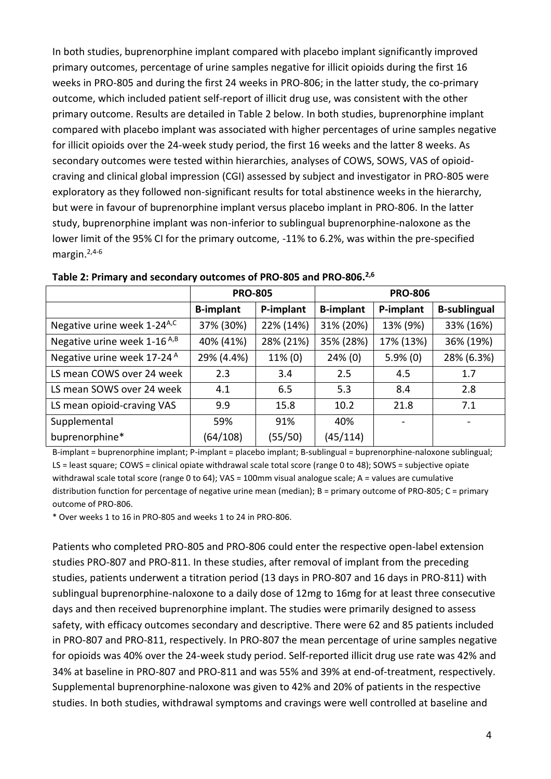In both studies, buprenorphine implant compared with placebo implant significantly improved primary outcomes, percentage of urine samples negative for illicit opioids during the first 16 weeks in PRO-805 and during the first 24 weeks in PRO-806; in the latter study, the co-primary outcome, which included patient self-report of illicit drug use, was consistent with the other primary outcome. Results are detailed in Table 2 below. In both studies, buprenorphine implant compared with placebo implant was associated with higher percentages of urine samples negative for illicit opioids over the 24-week study period, the first 16 weeks and the latter 8 weeks. As secondary outcomes were tested within hierarchies, analyses of COWS, SOWS, VAS of opioidcraving and clinical global impression (CGI) assessed by subject and investigator in PRO-805 were exploratory as they followed non-significant results for total abstinence weeks in the hierarchy, but were in favour of buprenorphine implant versus placebo implant in PRO-806. In the latter study, buprenorphine implant was non-inferior to sublingual buprenorphine-naloxone as the lower limit of the 95% CI for the primary outcome, -11% to 6.2%, was within the pre-specified margin.2,4-6

|                                         | <b>PRO-805</b>   |           | <b>PRO-806</b>   |             |                     |
|-----------------------------------------|------------------|-----------|------------------|-------------|---------------------|
|                                         | <b>B-implant</b> | P-implant | <b>B-implant</b> | P-implant   | <b>B-sublingual</b> |
| Negative urine week 1-24 <sup>A,C</sup> | 37% (30%)        | 22% (14%) | 31% (20%)        | 13% (9%)    | 33% (16%)           |
| Negative urine week 1-16 <sup>A,B</sup> | 40% (41%)        | 28% (21%) | 35% (28%)        | 17% (13%)   | 36% (19%)           |
| Negative urine week 17-24 <sup>A</sup>  | 29% (4.4%)       | 11% (0)   | $24\%$ (0)       | $5.9\%$ (0) | 28% (6.3%)          |
| LS mean COWS over 24 week               | 2.3              | 3.4       | 2.5              | 4.5         | 1.7                 |
| LS mean SOWS over 24 week               | 4.1              | 6.5       | 5.3              | 8.4         | 2.8                 |
| LS mean opioid-craving VAS              | 9.9              | 15.8      | 10.2             | 21.8        | 7.1                 |
| Supplemental                            | 59%              | 91%       | 40%              |             |                     |
| buprenorphine*                          | (64/108)         | (55/50)   | (45/114)         |             |                     |

**Table 2: Primary and secondary outcomes of PRO-805 and PRO-806. 2,6**

B-implant = buprenorphine implant; P-implant = placebo implant; B-sublingual = buprenorphine-naloxone sublingual; LS = least square; COWS = clinical opiate withdrawal scale total score (range 0 to 48); SOWS = subjective opiate withdrawal scale total score (range 0 to 64); VAS = 100mm visual analogue scale; A = values are cumulative distribution function for percentage of negative urine mean (median); B = primary outcome of PRO-805; C = primary outcome of PRO-806.

\* Over weeks 1 to 16 in PRO-805 and weeks 1 to 24 in PRO-806.

Patients who completed PRO-805 and PRO-806 could enter the respective open-label extension studies PRO-807 and PRO-811. In these studies, after removal of implant from the preceding studies, patients underwent a titration period (13 days in PRO-807 and 16 days in PRO-811) with sublingual buprenorphine-naloxone to a daily dose of 12mg to 16mg for at least three consecutive days and then received buprenorphine implant. The studies were primarily designed to assess safety, with efficacy outcomes secondary and descriptive. There were 62 and 85 patients included in PRO-807 and PRO-811, respectively. In PRO-807 the mean percentage of urine samples negative for opioids was 40% over the 24-week study period. Self-reported illicit drug use rate was 42% and 34% at baseline in PRO-807 and PRO-811 and was 55% and 39% at end-of-treatment, respectively. Supplemental buprenorphine-naloxone was given to 42% and 20% of patients in the respective studies. In both studies, withdrawal symptoms and cravings were well controlled at baseline and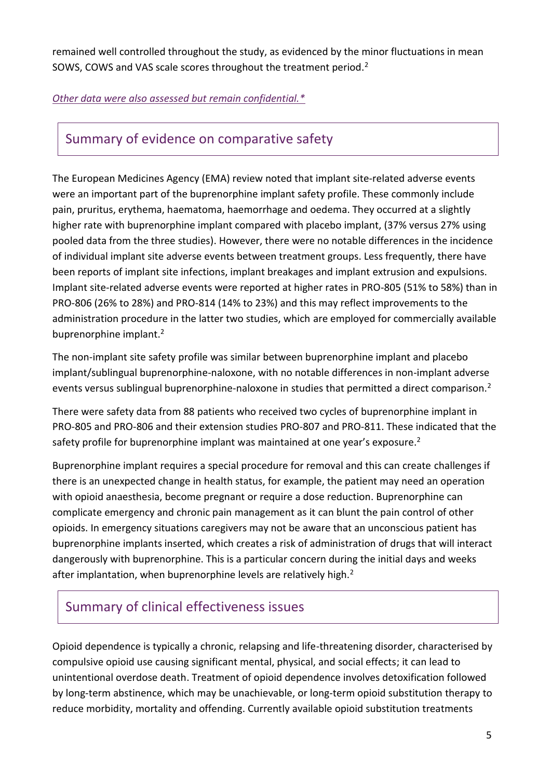remained well controlled throughout the study, as evidenced by the minor fluctuations in mean SOWS, COWS and VAS scale scores throughout the treatment period.<sup>2</sup>

#### *[Other data were also assessed but remain confidential.\\*](https://www.scottishmedicines.org.uk/media/3572/20180710-release-of-company-data.pdf)*

### Summary of evidence on comparative safety

The European Medicines Agency (EMA) review noted that implant site-related adverse events were an important part of the buprenorphine implant safety profile. These commonly include pain, pruritus, erythema, haematoma, haemorrhage and oedema. They occurred at a slightly higher rate with buprenorphine implant compared with placebo implant, (37% versus 27% using pooled data from the three studies). However, there were no notable differences in the incidence of individual implant site adverse events between treatment groups. Less frequently, there have been reports of implant site infections, implant breakages and implant extrusion and expulsions. Implant site-related adverse events were reported at higher rates in PRO-805 (51% to 58%) than in PRO-806 (26% to 28%) and PRO-814 (14% to 23%) and this may reflect improvements to the administration procedure in the latter two studies, which are employed for commercially available buprenorphine implant.<sup>2</sup>

The non-implant site safety profile was similar between buprenorphine implant and placebo implant/sublingual buprenorphine-naloxone, with no notable differences in non-implant adverse events versus sublingual buprenorphine-naloxone in studies that permitted a direct comparison.<sup>2</sup>

There were safety data from 88 patients who received two cycles of buprenorphine implant in PRO-805 and PRO-806 and their extension studies PRO-807 and PRO-811. These indicated that the safety profile for buprenorphine implant was maintained at one year's exposure.<sup>2</sup>

Buprenorphine implant requires a special procedure for removal and this can create challenges if there is an unexpected change in health status, for example, the patient may need an operation with opioid anaesthesia, become pregnant or require a dose reduction. Buprenorphine can complicate emergency and chronic pain management as it can blunt the pain control of other opioids. In emergency situations caregivers may not be aware that an unconscious patient has buprenorphine implants inserted, which creates a risk of administration of drugs that will interact dangerously with buprenorphine. This is a particular concern during the initial days and weeks after implantation, when buprenorphine levels are relatively high.<sup>2</sup>

# Summary of clinical effectiveness issues

Opioid dependence is typically a chronic, relapsing and life-threatening disorder, characterised by compulsive opioid use causing significant mental, physical, and social effects; it can lead to unintentional overdose death. Treatment of opioid dependence involves detoxification followed by long-term abstinence, which may be unachievable, or long-term opioid substitution therapy to reduce morbidity, mortality and offending. Currently available opioid substitution treatments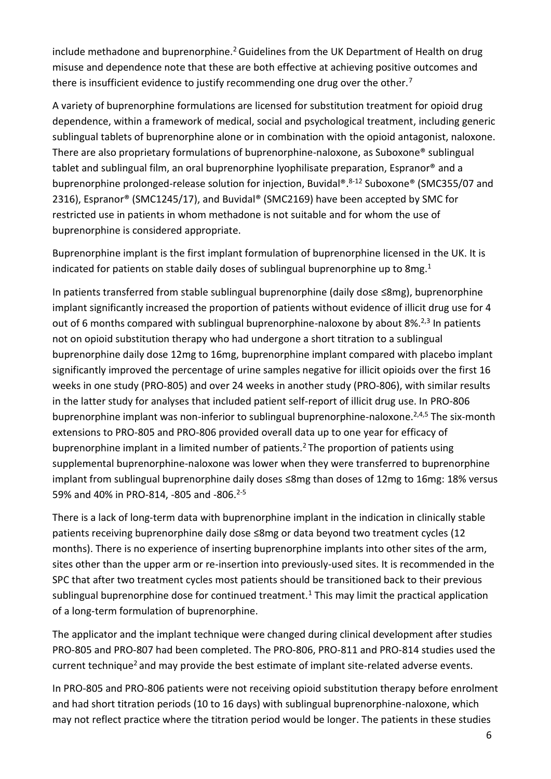include methadone and buprenorphine.<sup>2</sup> Guidelines from the UK Department of Health on drug misuse and dependence note that these are both effective at achieving positive outcomes and there is insufficient evidence to justify recommending one drug over the other.<sup>7</sup>

A variety of buprenorphine formulations are licensed for substitution treatment for opioid drug dependence, within a framework of medical, social and psychological treatment, including generic sublingual tablets of buprenorphine alone or in combination with the opioid antagonist, naloxone. There are also proprietary formulations of buprenorphine-naloxone, as Suboxone® sublingual tablet and sublingual film, an oral buprenorphine lyophilisate preparation, Espranor® and a buprenorphine prolonged-release solution for injection, Buvidal®. 8-12 Suboxone® (SMC355/07 and 2316), Espranor® (SMC1245/17), and Buvidal® (SMC2169) have been accepted by SMC for restricted use in patients in whom methadone is not suitable and for whom the use of buprenorphine is considered appropriate.

Buprenorphine implant is the first implant formulation of buprenorphine licensed in the UK. It is indicated for patients on stable daily doses of sublingual buprenorphine up to 8mg.<sup>1</sup>

In patients transferred from stable sublingual buprenorphine (daily dose ≤8mg), buprenorphine implant significantly increased the proportion of patients without evidence of illicit drug use for 4 out of 6 months compared with sublingual buprenorphine-naloxone by about 8%.<sup>2,3</sup> In patients not on opioid substitution therapy who had undergone a short titration to a sublingual buprenorphine daily dose 12mg to 16mg, buprenorphine implant compared with placebo implant significantly improved the percentage of urine samples negative for illicit opioids over the first 16 weeks in one study (PRO-805) and over 24 weeks in another study (PRO-806), with similar results in the latter study for analyses that included patient self-report of illicit drug use. In PRO-806 buprenorphine implant was non-inferior to sublingual buprenorphine-naloxone.<sup>2,4,5</sup> The six-month extensions to PRO-805 and PRO-806 provided overall data up to one year for efficacy of buprenorphine implant in a limited number of patients.<sup>2</sup> The proportion of patients using supplemental buprenorphine-naloxone was lower when they were transferred to buprenorphine implant from sublingual buprenorphine daily doses ≤8mg than doses of 12mg to 16mg: 18% versus 59% and 40% in PRO-814, -805 and -806.<sup>2-5</sup>

There is a lack of long-term data with buprenorphine implant in the indication in clinically stable patients receiving buprenorphine daily dose ≤8mg or data beyond two treatment cycles (12 months). There is no experience of inserting buprenorphine implants into other sites of the arm, sites other than the upper arm or re-insertion into previously-used sites. It is recommended in the SPC that after two treatment cycles most patients should be transitioned back to their previous sublingual buprenorphine dose for continued treatment.<sup>1</sup> This may limit the practical application of a long-term formulation of buprenorphine.

The applicator and the implant technique were changed during clinical development after studies PRO-805 and PRO-807 had been completed. The PRO-806, PRO-811 and PRO-814 studies used the current technique<sup>2</sup> and may provide the best estimate of implant site-related adverse events.

In PRO-805 and PRO-806 patients were not receiving opioid substitution therapy before enrolment and had short titration periods (10 to 16 days) with sublingual buprenorphine-naloxone, which may not reflect practice where the titration period would be longer. The patients in these studies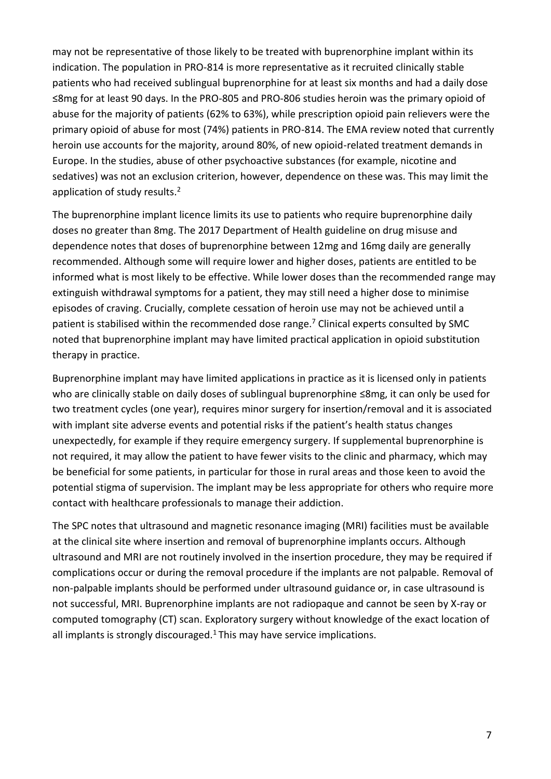may not be representative of those likely to be treated with buprenorphine implant within its indication. The population in PRO-814 is more representative as it recruited clinically stable patients who had received sublingual buprenorphine for at least six months and had a daily dose ≤8mg for at least 90 days. In the PRO-805 and PRO-806 studies heroin was the primary opioid of abuse for the majority of patients (62% to 63%), while prescription opioid pain relievers were the primary opioid of abuse for most (74%) patients in PRO-814. The EMA review noted that currently heroin use accounts for the majority, around 80%, of new opioid-related treatment demands in Europe. In the studies, abuse of other psychoactive substances (for example, nicotine and sedatives) was not an exclusion criterion, however, dependence on these was. This may limit the application of study results.<sup>2</sup>

The buprenorphine implant licence limits its use to patients who require buprenorphine daily doses no greater than 8mg. The 2017 Department of Health guideline on drug misuse and dependence notes that doses of buprenorphine between 12mg and 16mg daily are generally recommended. Although some will require lower and higher doses, patients are entitled to be informed what is most likely to be effective. While lower doses than the recommended range may extinguish withdrawal symptoms for a patient, they may still need a higher dose to minimise episodes of craving. Crucially, complete cessation of heroin use may not be achieved until a patient is stabilised within the recommended dose range.<sup>7</sup> Clinical experts consulted by SMC noted that buprenorphine implant may have limited practical application in opioid substitution therapy in practice.

Buprenorphine implant may have limited applications in practice as it is licensed only in patients who are clinically stable on daily doses of sublingual buprenorphine ≤8mg, it can only be used for two treatment cycles (one year), requires minor surgery for insertion/removal and it is associated with implant site adverse events and potential risks if the patient's health status changes unexpectedly, for example if they require emergency surgery. If supplemental buprenorphine is not required, it may allow the patient to have fewer visits to the clinic and pharmacy, which may be beneficial for some patients, in particular for those in rural areas and those keen to avoid the potential stigma of supervision. The implant may be less appropriate for others who require more contact with healthcare professionals to manage their addiction.

The SPC notes that ultrasound and magnetic resonance imaging (MRI) facilities must be available at the clinical site where insertion and removal of buprenorphine implants occurs. Although ultrasound and MRI are not routinely involved in the insertion procedure, they may be required if complications occur or during the removal procedure if the implants are not palpable. Removal of non-palpable implants should be performed under ultrasound guidance or, in case ultrasound is not successful, MRI. Buprenorphine implants are not radiopaque and cannot be seen by X-ray or computed tomography (CT) scan. Exploratory surgery without knowledge of the exact location of all implants is strongly discouraged. $1$  This may have service implications.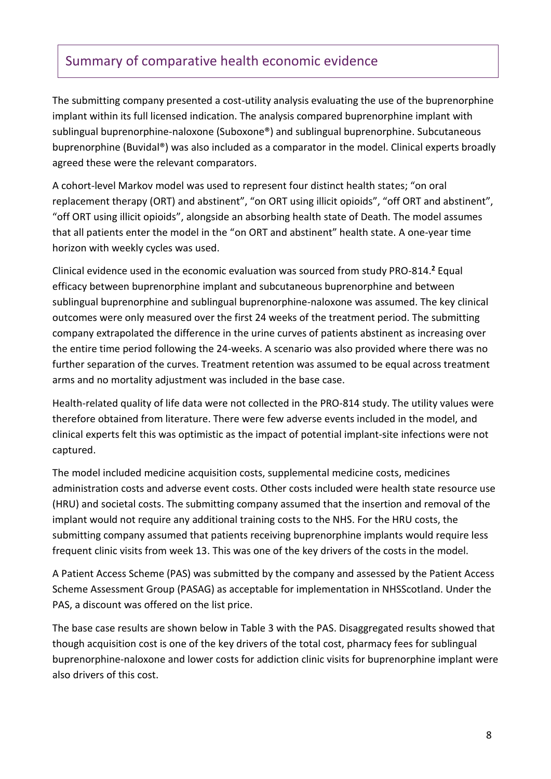## Summary of comparative health economic evidence

The submitting company presented a cost-utility analysis evaluating the use of the buprenorphine implant within its full licensed indication. The analysis compared buprenorphine implant with sublingual buprenorphine-naloxone (Suboxone®) and sublingual buprenorphine. Subcutaneous buprenorphine (Buvidal®) was also included as a comparator in the model. Clinical experts broadly agreed these were the relevant comparators.

A cohort-level Markov model was used to represent four distinct health states; "on oral replacement therapy (ORT) and abstinent", "on ORT using illicit opioids", "off ORT and abstinent", "off ORT using illicit opioids", alongside an absorbing health state of Death. The model assumes that all patients enter the model in the "on ORT and abstinent" health state. A one-year time horizon with weekly cycles was used.

Clinical evidence used in the economic evaluation was sourced from study PRO-814.**<sup>2</sup>** Equal efficacy between buprenorphine implant and subcutaneous buprenorphine and between sublingual buprenorphine and sublingual buprenorphine-naloxone was assumed. The key clinical outcomes were only measured over the first 24 weeks of the treatment period. The submitting company extrapolated the difference in the urine curves of patients abstinent as increasing over the entire time period following the 24-weeks. A scenario was also provided where there was no further separation of the curves. Treatment retention was assumed to be equal across treatment arms and no mortality adjustment was included in the base case.

Health-related quality of life data were not collected in the PRO-814 study. The utility values were therefore obtained from literature. There were few adverse events included in the model, and clinical experts felt this was optimistic as the impact of potential implant-site infections were not captured.

The model included medicine acquisition costs, supplemental medicine costs, medicines administration costs and adverse event costs. Other costs included were health state resource use (HRU) and societal costs. The submitting company assumed that the insertion and removal of the implant would not require any additional training costs to the NHS. For the HRU costs, the submitting company assumed that patients receiving buprenorphine implants would require less frequent clinic visits from week 13. This was one of the key drivers of the costs in the model.

A Patient Access Scheme (PAS) was submitted by the company and assessed by the Patient Access Scheme Assessment Group (PASAG) as acceptable for implementation in NHSScotland. Under the PAS, a discount was offered on the list price.

The base case results are shown below in Table 3 with the PAS. Disaggregated results showed that though acquisition cost is one of the key drivers of the total cost, pharmacy fees for sublingual buprenorphine-naloxone and lower costs for addiction clinic visits for buprenorphine implant were also drivers of this cost.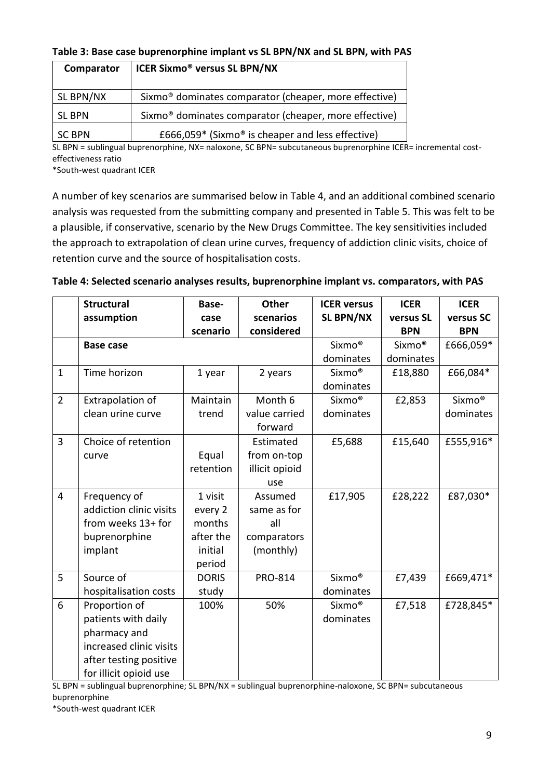#### **Table 3: Base case buprenorphine implant vs SL BPN/NX and SL BPN, with PAS**

| Comparator    | <b>ICER Sixmo<sup>®</sup> versus SL BPN/NX</b>                    |
|---------------|-------------------------------------------------------------------|
| SL BPN/NX     | Sixmo <sup>®</sup> dominates comparator (cheaper, more effective) |
| <b>SL BPN</b> | Sixmo <sup>®</sup> dominates comparator (cheaper, more effective) |
| <b>SC BPN</b> | £666,059 $*$ (Sixmo <sup>®</sup> is cheaper and less effective)   |

SL BPN = sublingual buprenorphine, NX= naloxone, SC BPN= subcutaneous buprenorphine ICER= incremental costeffectiveness ratio

\*South-west quadrant ICER

A number of key scenarios are summarised below in Table 4, and an additional combined scenario analysis was requested from the submitting company and presented in Table 5. This was felt to be a plausible, if conservative, scenario by the New Drugs Committee. The key sensitivities included the approach to extrapolation of clean urine curves, frequency of addiction clinic visits, choice of retention curve and the source of hospitalisation costs.

|                | <b>Structural</b>       | Base-        | <b>Other</b>   | <b>ICER versus</b> | <b>ICER</b>        | <b>ICER</b>        |
|----------------|-------------------------|--------------|----------------|--------------------|--------------------|--------------------|
|                | assumption              | case         | scenarios      | <b>SL BPN/NX</b>   | versus SL          | versus SC          |
|                |                         | scenario     | considered     |                    | <b>BPN</b>         | <b>BPN</b>         |
|                | <b>Base case</b>        |              |                | Sixmo <sup>®</sup> | Sixmo <sup>®</sup> | £666,059*          |
|                |                         |              |                | dominates          | dominates          |                    |
| $\mathbf{1}$   | Time horizon            | 1 year       | 2 years        | Sixmo <sup>®</sup> | £18,880            | £66,084*           |
|                |                         |              |                | dominates          |                    |                    |
| $\overline{2}$ | Extrapolation of        | Maintain     | Month 6        | Sixmo <sup>®</sup> | £2,853             | Sixmo <sup>®</sup> |
|                | clean urine curve       | trend        | value carried  | dominates          |                    | dominates          |
|                |                         |              | forward        |                    |                    |                    |
| $\overline{3}$ | Choice of retention     |              | Estimated      | £5,688             | £15,640            | £555,916*          |
|                | curve                   | Equal        | from on-top    |                    |                    |                    |
|                |                         | retention    | illicit opioid |                    |                    |                    |
|                |                         |              | use            |                    |                    |                    |
| $\overline{4}$ | Frequency of            | 1 visit      | Assumed        | £17,905            | £28,222            | £87,030*           |
|                | addiction clinic visits | every 2      | same as for    |                    |                    |                    |
|                | from weeks 13+ for      | months       | all            |                    |                    |                    |
|                | buprenorphine           | after the    | comparators    |                    |                    |                    |
|                | implant                 | initial      | (monthly)      |                    |                    |                    |
|                |                         | period       |                |                    |                    |                    |
| 5              | Source of               | <b>DORIS</b> | PRO-814        | Sixmo <sup>®</sup> | £7,439             | £669,471*          |
|                | hospitalisation costs   | study        |                | dominates          |                    |                    |
| 6              | Proportion of           | 100%         | 50%            | Sixmo <sup>®</sup> | £7,518             | £728,845*          |
|                | patients with daily     |              |                | dominates          |                    |                    |
|                | pharmacy and            |              |                |                    |                    |                    |
|                | increased clinic visits |              |                |                    |                    |                    |
|                | after testing positive  |              |                |                    |                    |                    |
|                | for illicit opioid use  |              |                |                    |                    |                    |

#### **Table 4: Selected scenario analyses results, buprenorphine implant vs. comparators, with PAS**

SL BPN = sublingual buprenorphine; SL BPN/NX = sublingual buprenorphine-naloxone, SC BPN= subcutaneous buprenorphine

\*South-west quadrant ICER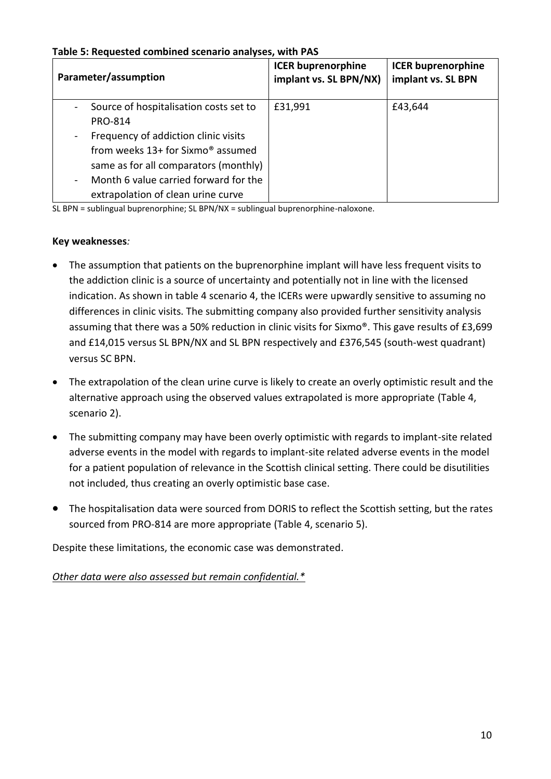| Table 5: Requested combined scenario analyses, with PAS |  |
|---------------------------------------------------------|--|
|---------------------------------------------------------|--|

| Parameter/assumption                                                                                                                                                                                          | <b>ICER buprenorphine</b><br>implant vs. SL BPN/NX) | <b>ICER buprenorphine</b><br>implant vs. SL BPN |
|---------------------------------------------------------------------------------------------------------------------------------------------------------------------------------------------------------------|-----------------------------------------------------|-------------------------------------------------|
| Source of hospitalisation costs set to<br><b>PRO-814</b>                                                                                                                                                      | £31,991                                             | £43,644                                         |
| Frequency of addiction clinic visits<br>from weeks 13+ for Sixmo <sup>®</sup> assumed<br>same as for all comparators (monthly)<br>Month 6 value carried forward for the<br>extrapolation of clean urine curve |                                                     |                                                 |

SL BPN = sublingual buprenorphine; SL BPN/NX = sublingual buprenorphine-naloxone.

#### **Key weaknesses***:*

- The assumption that patients on the buprenorphine implant will have less frequent visits to the addiction clinic is a source of uncertainty and potentially not in line with the licensed indication. As shown in table 4 scenario 4, the ICERs were upwardly sensitive to assuming no differences in clinic visits. The submitting company also provided further sensitivity analysis assuming that there was a 50% reduction in clinic visits for Sixmo®. This gave results of £3,699 and £14,015 versus SL BPN/NX and SL BPN respectively and £376,545 (south-west quadrant) versus SC BPN.
- The extrapolation of the clean urine curve is likely to create an overly optimistic result and the alternative approach using the observed values extrapolated is more appropriate (Table 4, scenario 2).
- The submitting company may have been overly optimistic with regards to implant-site related adverse events in the model with regards to implant-site related adverse events in the model for a patient population of relevance in the Scottish clinical setting. There could be disutilities not included, thus creating an overly optimistic base case.
- The hospitalisation data were sourced from DORIS to reflect the Scottish setting, but the rates sourced from PRO-814 are more appropriate (Table 4, scenario 5).

Despite these limitations, the economic case was demonstrated.

*Other data were also assessed but remain confidential.\**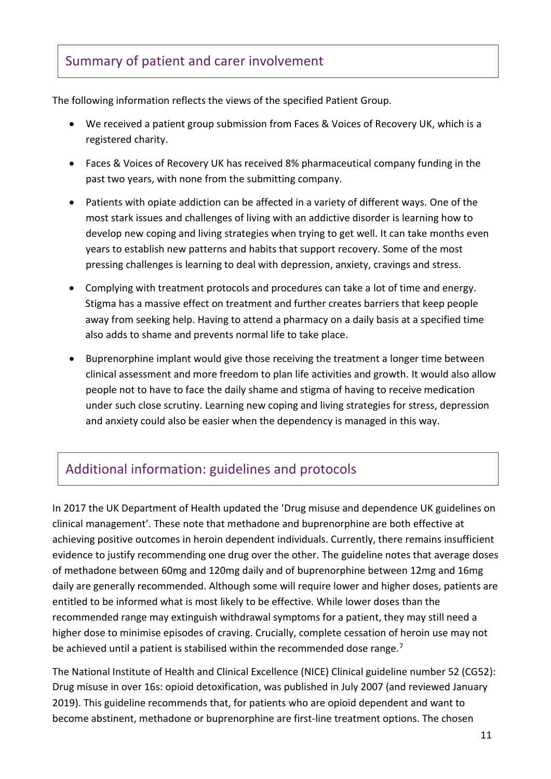# Summary of patient and carer involvement

The following information reflects the views of the specified Patient Group.

- We received a patient group submission from Faces & Voices of Recovery UK, which is a registered charity.
- Faces & Voices of Recovery UK has received 8% pharmaceutical company funding in the past two years, with none from the submitting company.
- Patients with opiate addiction can be affected in a variety of different ways. One of the most stark issues and challenges of living with an addictive disorder is learning how to develop new coping and living strategies when trying to get well. It can take months even years to establish new patterns and habits that support recovery. Some of the most pressing challenges is learning to deal with depression, anxiety, cravings and stress.
- Complying with treatment protocols and procedures can take a lot of time and energy. Stigma has a massive effect on treatment and further creates barriers that keep people away from seeking help. Having to attend a pharmacy on a daily basis at a specified time also adds to shame and prevents normal life to take place.
- Buprenorphine implant would give those receiving the treatment a longer time between clinical assessment and more freedom to plan life activities and growth. It would also allow people not to have to face the daily shame and stigma of having to receive medication under such close scrutiny. Learning new coping and living strategies for stress, depression and anxiety could also be easier when the dependency is managed in this way.

# Additional information: guidelines and protocols

In 2017 the UK Department of Health updated the 'Drug misuse and dependence UK guidelines on clinical management'. These note that methadone and buprenorphine are both effective at achieving positive outcomes in heroin dependent individuals. Currently, there remains insufficient evidence to justify recommending one drug over the other. The guideline notes that average doses of methadone between 60mg and 120mg daily and of buprenorphine between 12mg and 16mg daily are generally recommended. Although some will require lower and higher doses, patients are entitled to be informed what is most likely to be effective. While lower doses than the recommended range may extinguish withdrawal symptoms for a patient, they may still need a higher dose to minimise episodes of craving. Crucially, complete cessation of heroin use may not be achieved until a patient is stabilised within the recommended dose range.<sup>7</sup>

The National Institute of Health and Clinical Excellence (NICE) Clinical guideline number 52 (CG52): Drug misuse in over 16s: opioid detoxification, was published in July 2007 (and reviewed January 2019). This guideline recommends that, for patients who are opioid dependent and want to become abstinent, methadone or buprenorphine are first-line treatment options. The chosen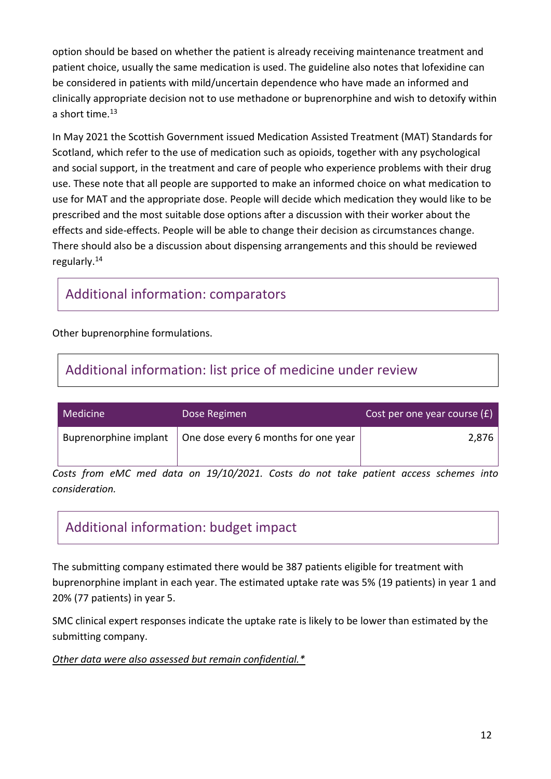option should be based on whether the patient is already receiving maintenance treatment and patient choice, usually the same medication is used. The guideline also notes that lofexidine can be considered in patients with mild/uncertain dependence who have made an informed and clinically appropriate decision not to use methadone or buprenorphine and wish to detoxify within a short time. $^{13}$ 

In May 2021 the Scottish Government issued Medication Assisted Treatment (MAT) Standards for Scotland, which refer to the use of medication such as opioids, together with any psychological and social support, in the treatment and care of people who experience problems with their drug use. These note that all people are supported to make an informed choice on what medication to use for MAT and the appropriate dose. People will decide which medication they would like to be prescribed and the most suitable dose options after a discussion with their worker about the effects and side-effects. People will be able to change their decision as circumstances change. There should also be a discussion about dispensing arrangements and this should be reviewed regularly.<sup>14</sup>

### Additional information: comparators

Other buprenorphine formulations.

# Additional information: list price of medicine under review

| Medicine | Dose Regimen                                                       | Cost per one year course $(E)$ |
|----------|--------------------------------------------------------------------|--------------------------------|
|          | Buprenorphine implant $\vert$ One dose every 6 months for one year | 2,876                          |

*Costs from eMC med data on 19/10/2021. Costs do not take patient access schemes into consideration.*

# Additional information: budget impact

The submitting company estimated there would be 387 patients eligible for treatment with buprenorphine implant in each year. The estimated uptake rate was 5% (19 patients) in year 1 and 20% (77 patients) in year 5.

SMC clinical expert responses indicate the uptake rate is likely to be lower than estimated by the submitting company.

#### *Other data were also assessed but remain confidential.\**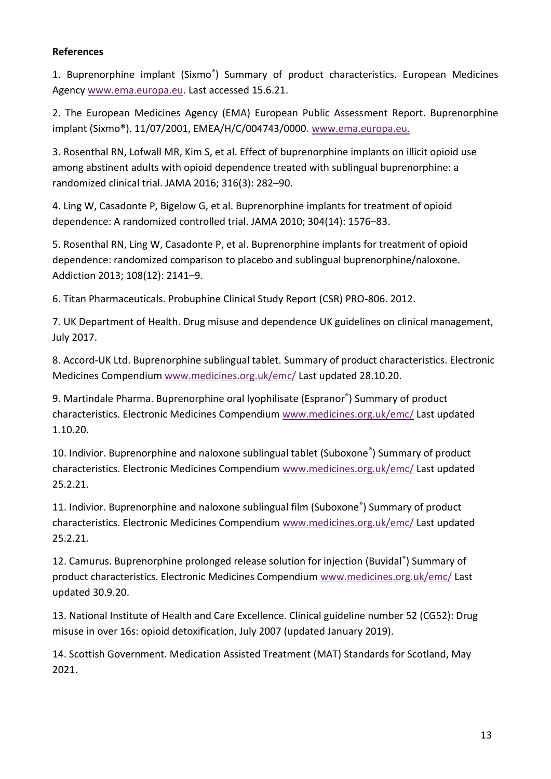#### **References**

1. Buprenorphine implant (Sixmo® ) Summary of product characteristics. European Medicines Agency [www.ema.europa.eu.](file:///C:/Users/susando/AppData/Local/Microsoft/Windows/Temporary%20Internet%20Files/Content.Outlook/P5JD73Y5/www.ema.europa.eu) Last accessed 15.6.21.

2. The European Medicines Agency (EMA) European Public Assessment Report. Buprenorphine implant (Sixmo®). 11/07/2001, EMEA/H/C/004743/0000. [www.ema.europa.eu.](http://www.ema.europa.eu/)

3. Rosenthal RN, Lofwall MR, Kim S, et al. Effect of buprenorphine implants on illicit opioid use among abstinent adults with opioid dependence treated with sublingual buprenorphine: a randomized clinical trial. JAMA 2016; 316(3): 282–90.

4. Ling W, Casadonte P, Bigelow G, et al. Buprenorphine implants for treatment of opioid dependence: A randomized controlled trial. JAMA 2010; 304(14): 1576–83.

5. Rosenthal RN, Ling W, Casadonte P, et al. Buprenorphine implants for treatment of opioid dependence: randomized comparison to placebo and sublingual buprenorphine/naloxone. Addiction 2013; 108(12): 2141–9.

6. Titan Pharmaceuticals. Probuphine Clinical Study Report (CSR) PRO-806. 2012.

7. UK Department of Health. Drug misuse and dependence UK guidelines on clinical management, July 2017.

8. Accord-UK Ltd. Buprenorphine sublingual tablet. Summary of product characteristics. Electronic Medicines Compendium [www.medicines.org.uk/emc/](http://www.medicines.org.uk/emc/) Last updated 28.10.20.

9. Martindale Pharma. Buprenorphine oral lyophilisate (Espranor® ) Summary of product characteristics. Electronic Medicines Compendium [www.medicines.org.uk/emc/](http://www.medicines.org.uk/emc/) Last updated 1.10.20.

10. Indivior. Buprenorphine and naloxone sublingual tablet (Suboxone® ) Summary of product characteristics. Electronic Medicines Compendium [www.medicines.org.uk/emc/](http://www.medicines.org.uk/emc/) Last updated 25.2.21.

11. Indivior. Buprenorphine and naloxone sublingual film (Suboxone® ) Summary of product characteristics. Electronic Medicines Compendium [www.medicines.org.uk/emc/](http://www.medicines.org.uk/emc/) Last updated 25.2.21.

12. Camurus. Buprenorphine prolonged release solution for injection (Buvidal® ) Summary of product characteristics. Electronic Medicines Compendium [www.medicines.org.uk/emc/](http://www.medicines.org.uk/emc/) Last updated 30.9.20.

13. National Institute of Health and Care Excellence. Clinical guideline number 52 (CG52): Drug misuse in over 16s: opioid detoxification, July 2007 (updated January 2019).

14. Scottish Government. Medication Assisted Treatment (MAT) Standards for Scotland, May 2021.